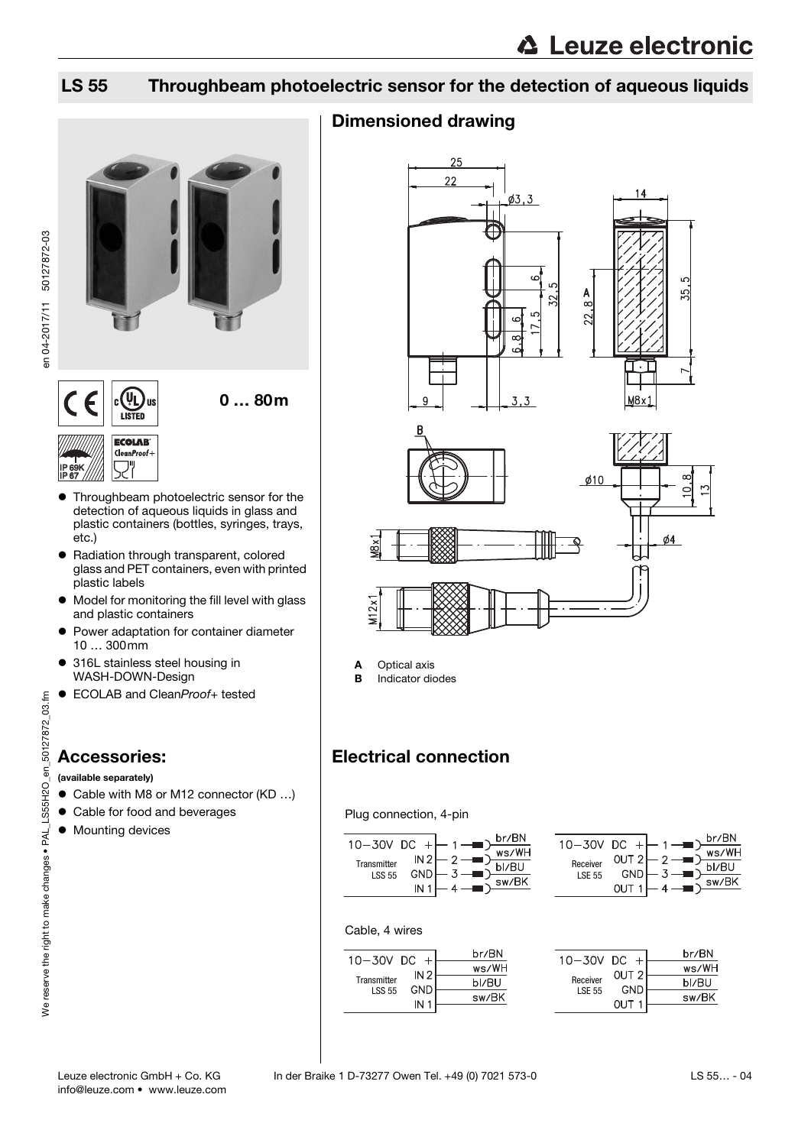## LS 55 Throughbeam photoelectric sensor for the detection of aqueous liquids



- **•** Throughbeam photoelectric sensor for the detection of aqueous liquids in glass and plastic containers (bottles, syringes, trays, etc.)
- Radiation through transparent, colored glass and PET containers, even with printed plastic labels
- Model for monitoring the fill level with glass and plastic containers
- **Power adaptation for container diameter** 10 … 300mm
- 316L stainless steel housing in WASH-DOWN-Design
- ECOLAB and CleanProof+ tested

## Accessories:

### (available separately)

- Cable with M8 or M12 connector (KD ...)
- Cable for food and beverages
- $\bullet$  Mounting devices

## Dimensioned drawing



A Optical axis

**B** Indicator diodes

## Electrical connection

Plug connection, 4-pin

| 10-30V DC +   |                 |        | br/BN |
|---------------|-----------------|--------|-------|
|               | IN <sub>2</sub> | $\sim$ | ws/WH |
| Transmitter   | GND             |        | bl/BU |
| <b>LSS 55</b> | IN.             |        | sw/BK |
|               |                 |        |       |

| $10 - 30V$ DC +           |                     | br/BN             |  |
|---------------------------|---------------------|-------------------|--|
| Receiver<br><b>LSE 55</b> | OUT 2<br>GND<br>OUT | ws/WH<br>$\Omega$ |  |

### Cable, 4 wires

| $10 - 30V$ DC                |                 | br/BN |
|------------------------------|-----------------|-------|
|                              | IN <sub>2</sub> | ws/WH |
| Transmitter<br><b>LSS 55</b> | <b>GND</b>      | bl/RU |
|                              |                 | sw/BK |
|                              |                 |       |

| 10-30V DC     |                  | br/BN |
|---------------|------------------|-------|
|               | OUT <sub>2</sub> | ws/WH |
| Receiver      | GND              | bl/BU |
| <b>LSE 55</b> |                  | sw/BK |
|               |                  |       |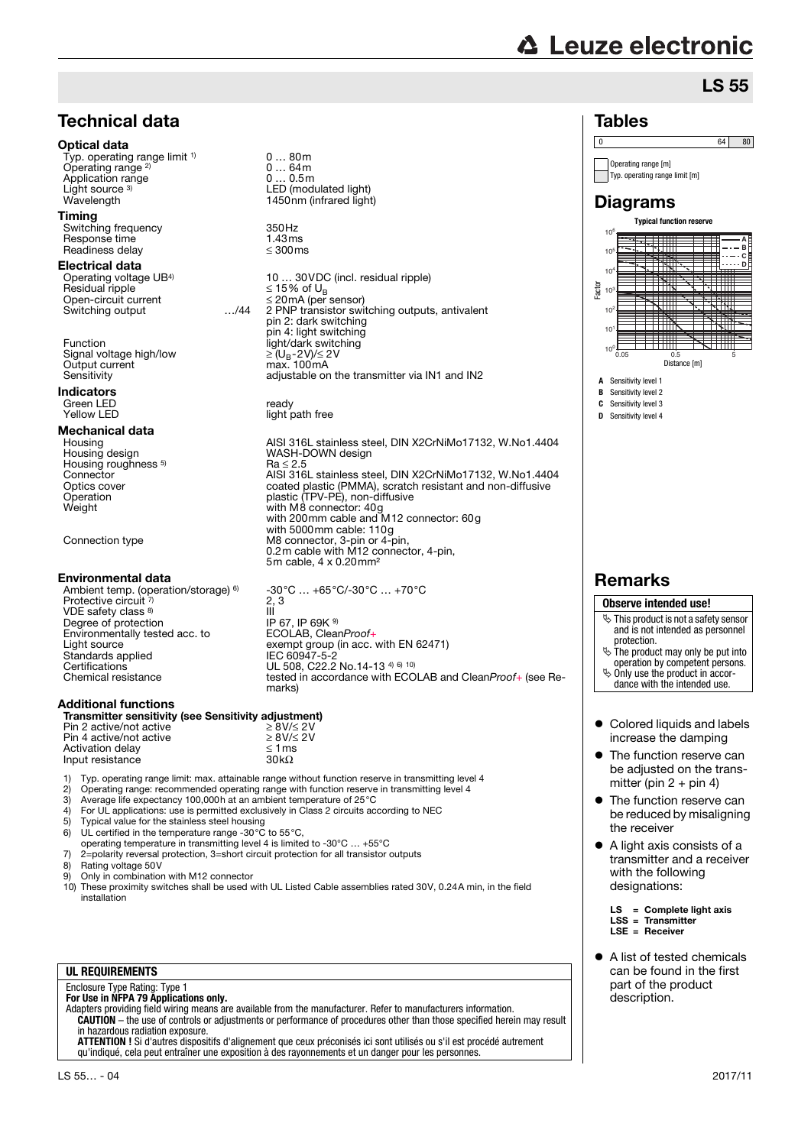# **△ Leuze electronic**

Operating range [m] Typ. operating range limit [m]

**Diagrams** 

**A** Sensitivity level 1 **B** Sensitivity level 2 **C** Sensitivity level 3 **D** Sensitivity level 4

 $10<sup>0</sup>$ 10<sup>1</sup>  $10^{2}$ 10<sup>3</sup> <sub>10</sub>  $\overline{10}$  $10<sup>6</sup>$ 

Factor

 $\begin{array}{|c|c|c|c|c|}\n\hline\n0 & 64 & 80 \\
\hline\n\end{array}$ 

**Typical function reserve**

0.05 0.5 5 Distance [m]

 $\searrow$  $\blacksquare$ ES M

Tables

## LS 55

**A B C D**

4

## Technical data

### Optical data

Typ. operating range limit <sup>1)</sup> Operating range 2) Application range Light source  $3$ )<br>Wavelength

### Timing

Switching frequency 350Hz<br>Response time 1.43ms Response time  $\begin{array}{ccc} 1.43 \text{ms} \\ \text{Readiness delay} \end{array}$  (300 ms) Readiness delay

### Electrical data

Operating voltage UB4) Residual ripple<br>Open-circuit current  $\begin{array}{rcl}\n\text{Residual ripple} & \text{S} & \text{S} & \text{S} & \text{S} & \text{S} & \text{O} & \text{O} \\
\text{Desidual ripple} & \text{S} & \text{S} & \text{S} & \text{O} & \text{O} \\
\text{Open-circuit current} & \text{S} & \text{S} & \text{P} & \text{S} & \text{P} \\
\text{Switching output} & \text{S} & \text{S} & \text{S} & \text{P} & \text{F} \\
\end{array}$ 

Function light/dark switching<br>Signal voltage high/low  $\geq (U_B - 2V)/\leq 2V$ Signal voltage high/low  $≥ (U_B - 2V)/≤ 2$ <br>Output current max 100mA Output current<br>Sensitivity

### Indicators Green LED ready<br>
Yellow LED ready

**Mechanical data**<br>Housing Housing roughness <sup>5)</sup><br>Connector

### Environmental data

Ambient temp. (operation/storage) <sup>6)</sup><br>Protective circuit <sup>7)</sup> VDE safety class 8) Degree of protection IP 67, IP 69K 9<br>
Environmentally tested acc. to ECOLAB, CleanProof+ Environmentally tested acc. to<br>Light source Light source exempt group (in acc. with EN 62471)<br>Standards applied exempt group (EC 60947-5-2) Standards applied IEC 60947-5-2 Certifications UL 508, C22.2 No.14-13 4) 6) 10)

### Additional functions

| Transmitter sensitivity (see Sensitivity adjustment) |                      |
|------------------------------------------------------|----------------------|
| Pin 2 active/not active                              | $\geq$ 8V/ $\leq$ 2V |

| Pin 2 active/not active |  |
|-------------------------|--|
| Pin 4 active/not active |  |
| Activation delay        |  |
| Input resistance        |  |
|                         |  |

1) Typ. operating range limit: max. attainable range without function reserve in transmitting level 4  $\overline{3}0k\Omega$ 

 $\geq 8V/\leq 2V$  $\leq 1 \text{ ms}$ 

- 2) Operating range: recommended operating range with function reserve in transmitting level 4
- 3) Average life expectancy 100,000h at an ambient temperature of 25°C 4) For UL applications: use is permitted exclusively in Class 2 circuits according to NEC
- 
- 5) Typical value for the stainless steel housing
- 6) UL certified in the temperature range -30 $^{\circ}$ C to 55 $^{\circ}$ C, operating temperature in transmitting level 4 is limited to -30°C … +55°C 7) 2=polarity reversal protection, 3=short circuit protection for all transistor outputs
- Rating voltage 50V
- 9) Only in combination with M12 connector
- 10) These proximity switches shall be used with UL Listed Cable assemblies rated 30V, 0.24A min, in the field installation

### **UL REQUIREMENTS**

Enclosure Type Rating: Type 1 **For Use in NFPA 79 Applications only.**

Adapters providing field wiring means are available from the manufacturer. Refer to manufacturers information. **CAUTION** – the use of controls or adjustments or performance of procedures other than those specified herein may result in hazardous radiation exposure.

**ATTENTION !** Si d'autres dispositifs d'alignement que ceux préconisés ici sont utilisés ou s'il est procédé autrement qu'indiqué, cela peut entraîner une exposition à des rayonnements et un danger pour les personnes.



light path free

0 … 80m

Housing **AISI 316L** stainless steel, DIN X2CrNiMo17132, W.No1.4404<br>Housing design **AISI 316L** MASH-DOWN design WASH-DOWN design Housing roughness <sup>5)</sup> Ra ≤ 2.5<br>Connector AISI 316L stainless steel, DIN X2CrNiMo17132, W.No1.4404 Optics cover coated plastic (PMMA), scratch resistant and non-diffusive Operation plastic (TPV-PE), non-diffusive Weight with M8 connector: 40g with 200mm cable and M12 connector: 60g with 5000mm cable: 110g Connection type M8 connector, 3-pin or 4-pin, 0.2m cable with M12 connector, 4-pin, 5m cable, 4 x 0.20mm²

-30°C … +65°C/-30°C … +70°C 2, 3 III Chemical resistance tested in accordance with ECOLAB and CleanProof+ (see Remarks)

## **Remarks**

### **Observe intended use!**

- $\ddot{\phi}$  This product is not a safety sensor and is not intended as personnel protection.
- $\ddot{\phi}$  The product may only be put into operation by competent persons.  $\&$  Only use the product in accor-
- dance with the intended use.
- Colored liquids and labels increase the damping
- The function reserve can be adjusted on the transmitter (pin  $2 + \text{pin } 4$ )
- The function reserve can be reduced by misaligning the receiver
- A light axis consists of a transmitter and a receiver with the following designations:

 $LS = Complete light axis$ LSS = Transmitter LSE = Receiver

 A list of tested chemicals can be found in the first part of the product description.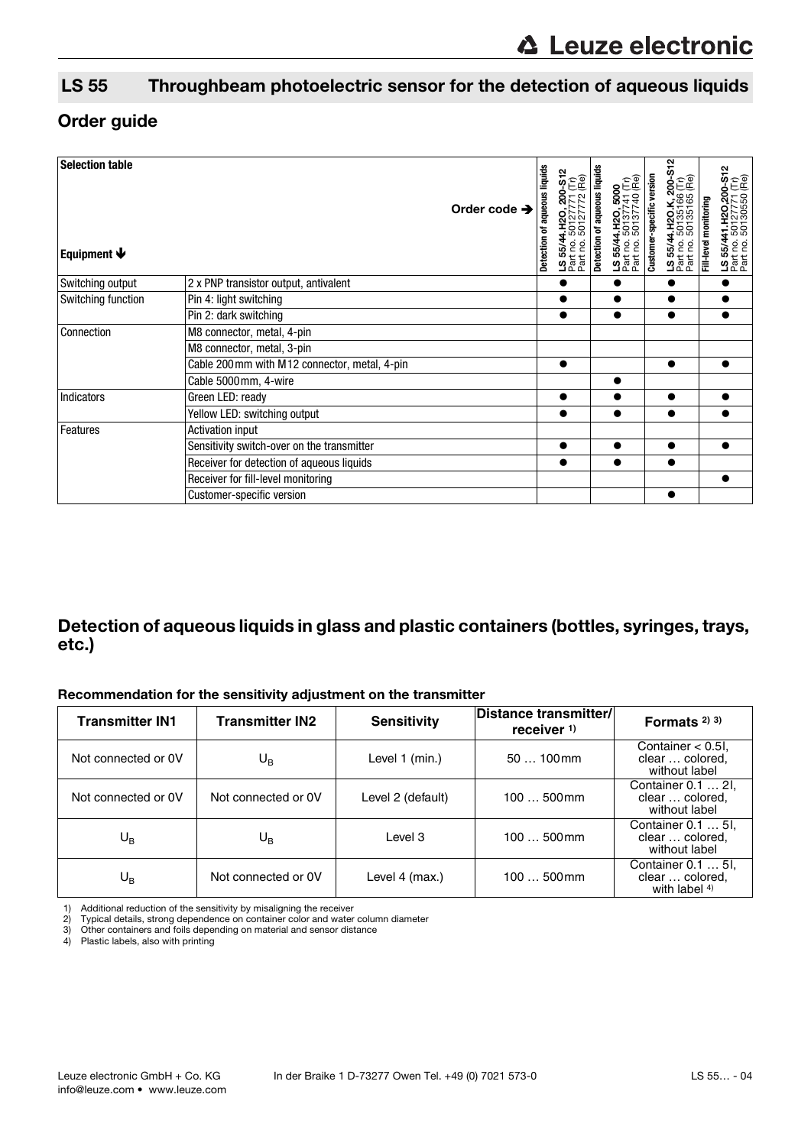## LS 55 Throughbeam photoelectric sensor for the detection of aqueous liquids

## Order guide

| <b>Selection table</b><br>Equipment $\blacklozenge$                                                                            |                                               | Order code $\rightarrow$ | aqueous liquids<br>ቴ<br>Detection | 200-S1:<br>771 (Tr)<br>772 (Re)<br>50127<br>Part no.<br>LS 55/4<br>Part no. | Detection of aqueous liquid | LS 55/44.H2O, 5000<br>Part no. 50137741 (Tr)<br>Part no. 50137740 (Re) | Customer-specific version | <b>200-1</b><br>5 (Re)<br>89<br>55/44.H2O.K<br>35<br>ss.<br>501<br>8<br>LS 55/4<br>Part no.<br>Part no | Fill-level | .50127771 (Tr)<br>.50130550 (Re)<br>ន្ត<br>LS 55/44<br>Part no.<br>Part no. |
|--------------------------------------------------------------------------------------------------------------------------------|-----------------------------------------------|--------------------------|-----------------------------------|-----------------------------------------------------------------------------|-----------------------------|------------------------------------------------------------------------|---------------------------|--------------------------------------------------------------------------------------------------------|------------|-----------------------------------------------------------------------------|
| Switching output                                                                                                               | 2 x PNP transistor output, antivalent         |                          |                                   |                                                                             |                             |                                                                        |                           |                                                                                                        |            |                                                                             |
| Switching function                                                                                                             | Pin 4: light switching                        |                          |                                   |                                                                             |                             |                                                                        |                           |                                                                                                        |            |                                                                             |
|                                                                                                                                | Pin 2: dark switching                         |                          |                                   |                                                                             |                             |                                                                        |                           |                                                                                                        |            |                                                                             |
| Connection                                                                                                                     | M8 connector, metal, 4-pin                    |                          |                                   |                                                                             |                             |                                                                        |                           |                                                                                                        |            |                                                                             |
|                                                                                                                                | M8 connector, metal, 3-pin                    |                          |                                   |                                                                             |                             |                                                                        |                           |                                                                                                        |            |                                                                             |
|                                                                                                                                | Cable 200 mm with M12 connector, metal, 4-pin |                          |                                   |                                                                             |                             |                                                                        |                           |                                                                                                        |            |                                                                             |
|                                                                                                                                | Cable 5000 mm, 4-wire                         |                          |                                   |                                                                             |                             |                                                                        |                           |                                                                                                        |            |                                                                             |
| <b>Indicators</b>                                                                                                              | Green LED: ready                              |                          |                                   |                                                                             |                             |                                                                        |                           |                                                                                                        |            |                                                                             |
|                                                                                                                                | Yellow LED: switching output                  |                          |                                   |                                                                             |                             |                                                                        |                           |                                                                                                        |            |                                                                             |
| Features<br><b>Activation input</b><br>Sensitivity switch-over on the transmitter<br>Receiver for detection of aqueous liquids |                                               |                          |                                   |                                                                             |                             |                                                                        |                           |                                                                                                        |            |                                                                             |
|                                                                                                                                |                                               |                          |                                   |                                                                             |                             |                                                                        |                           |                                                                                                        |            |                                                                             |
|                                                                                                                                |                                               |                          |                                   |                                                                             |                             |                                                                        |                           |                                                                                                        |            |                                                                             |
|                                                                                                                                | Receiver for fill-level monitoring            |                          |                                   |                                                                             |                             |                                                                        |                           |                                                                                                        |            |                                                                             |
|                                                                                                                                | Customer-specific version                     |                          |                                   |                                                                             |                             |                                                                        |                           |                                                                                                        |            |                                                                             |

## Detection of aqueous liquids in glass and plastic containers (bottles, syringes, trays, etc.)

### Recommendation for the sensitivity adjustment on the transmitter

| <b>Transmitter IN1</b> | <b>Transmitter IN2</b> | <b>Sensitivity</b> | Distance transmitter/<br>receiver <sup>1)</sup> | Formats $(2)$ 3)                                          |
|------------------------|------------------------|--------------------|-------------------------------------------------|-----------------------------------------------------------|
| Not connected or OV    | $U_{\rm B}$            | Level 1 (min.)     | $50100$ mm                                      | Container $< 0.5$ l,<br>clear  colored,<br>without label  |
| Not connected or OV    | Not connected or OV    | Level 2 (default)  | $100500$ mm                                     | Container 0.1  21.<br>clear  colored,<br>without label    |
| $U_{\rm B}$            | $U_{\rm B}$            | Level 3            | $100500$ mm                                     | Container 0.1  51,<br>clear  colored,<br>without label    |
| $U_{\mathsf{B}}$       | Not connected or OV    | Level 4 (max.)     | $100500$ mm                                     | Container 0.1  51.<br>clear  colored,<br>with label $4$ ) |

Typical details, strong dependence on container color and water column diameter

1) Additional reduction of the sensitivity by misaligning the receiver<br>
2) Typical details, strong dependence on container color and water<br>
3) Other containers and foils depending on material and sensor dist<br>
4) Plastic la 3) Other containers and foils depending on material and sensor distance 4) Plastic labels, also with printing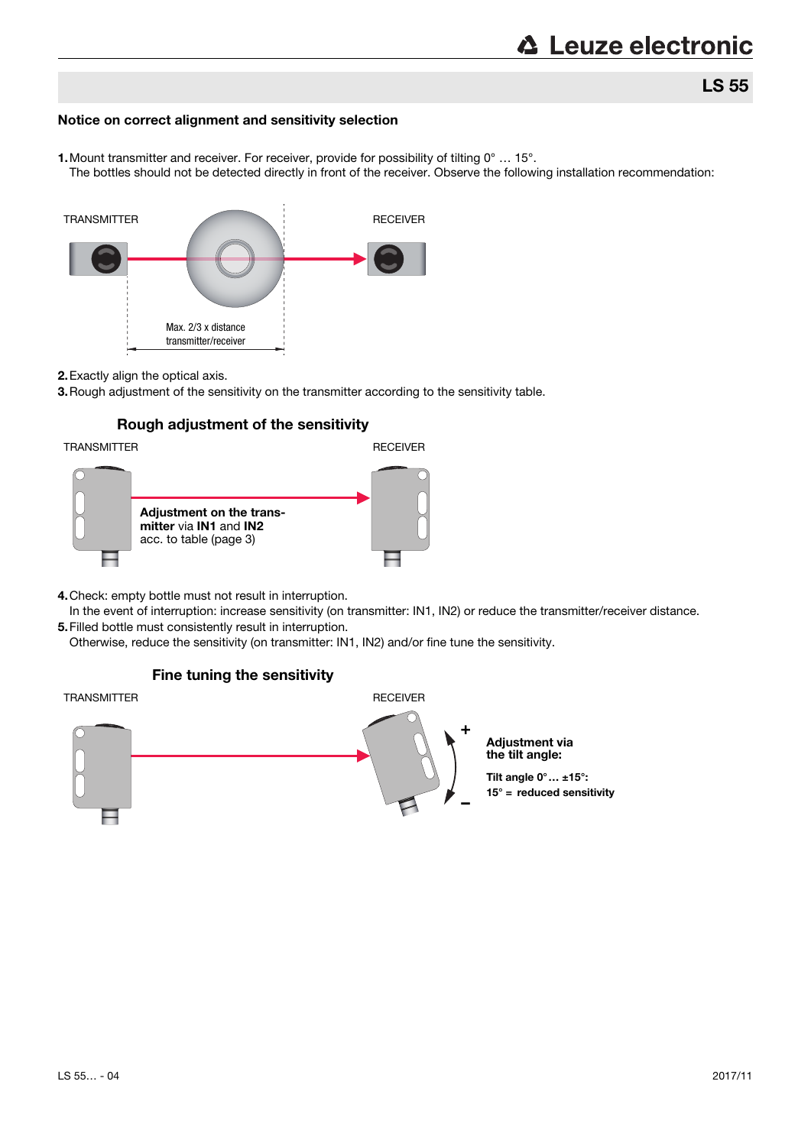## Notice on correct alignment and sensitivity selection

1. Mount transmitter and receiver. For receiver, provide for possibility of tilting 0° ... 15°.

The bottles should not be detected directly in front of the receiver. Observe the following installation recommendation:



### 2.Exactly align the optical axis.

3.Rough adjustment of the sensitivity on the transmitter according to the sensitivity table.

## Rough adjustment of the sensitivity

TRANSMITTER **RECEIVER** 



- 4.Check: empty bottle must not result in interruption.
- In the event of interruption: increase sensitivity (on transmitter: IN1, IN2) or reduce the transmitter/receiver distance. 5.Filled bottle must consistently result in interruption.

Otherwise, reduce the sensitivity (on transmitter: IN1, IN2) and/or fine tune the sensitivity.



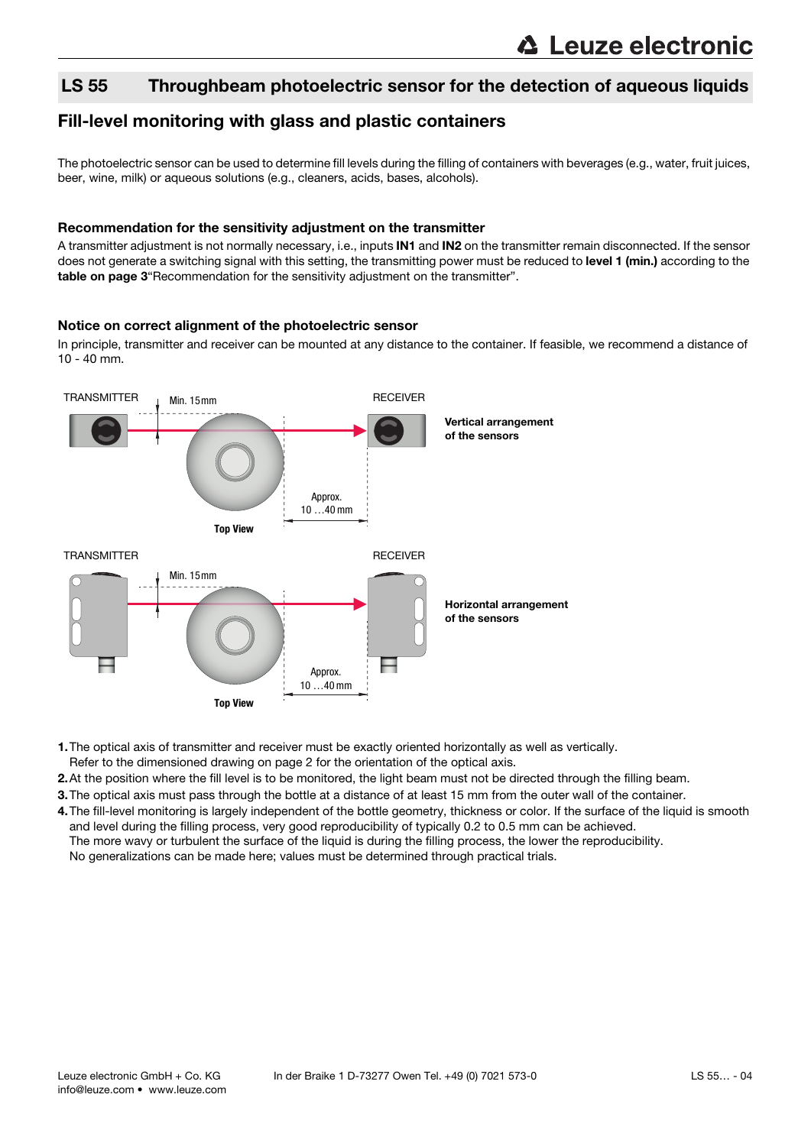## LS 55 Throughbeam photoelectric sensor for the detection of aqueous liquids

## Fill-level monitoring with glass and plastic containers

The photoelectric sensor can be used to determine fill levels during the filling of containers with beverages (e.g., water, fruit juices, beer, wine, milk) or aqueous solutions (e.g., cleaners, acids, bases, alcohols).

### Recommendation for the sensitivity adjustment on the transmitter

A transmitter adjustment is not normally necessary, i.e., inputs IN1 and IN2 on the transmitter remain disconnected. If the sensor does not generate a switching signal with this setting, the transmitting power must be reduced to level 1 (min.) according to the table on page 3"Recommendation for the sensitivity adjustment on the transmitter".

### Notice on correct alignment of the photoelectric sensor

In principle, transmitter and receiver can be mounted at any distance to the container. If feasible, we recommend a distance of 10 - 40 mm.



1.The optical axis of transmitter and receiver must be exactly oriented horizontally as well as vertically.

Refer to the dimensioned drawing on page 2 for the orientation of the optical axis.

2.At the position where the fill level is to be monitored, the light beam must not be directed through the filling beam.

- 3.The optical axis must pass through the bottle at a distance of at least 15 mm from the outer wall of the container.
- 4. The fill-level monitoring is largely independent of the bottle geometry, thickness or color. If the surface of the liquid is smooth and level during the filling process, very good reproducibility of typically 0.2 to 0.5 mm can be achieved. The more wavy or turbulent the surface of the liquid is during the filling process, the lower the reproducibility. No generalizations can be made here; values must be determined through practical trials.